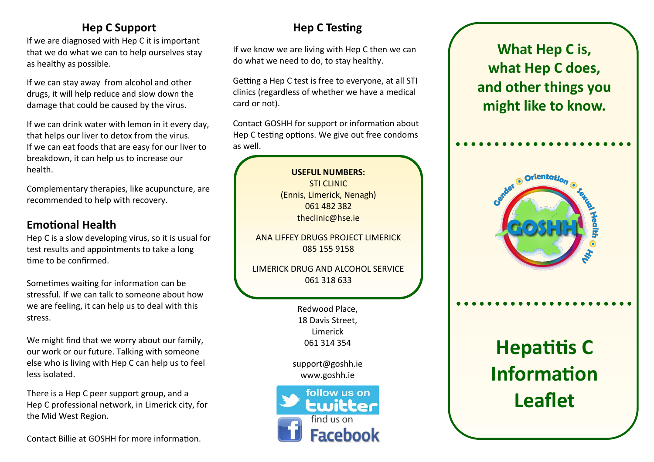## **Hep C Support**

If we are diagnosed with Hep C it is important that we do what we can to help ourselves stay as healthy as possible.

If we can stay away from alcohol and other drugs, it will help reduce and slow down the damage that could be caused by the virus.

If we can drink water with lemon in it every day, that helps our liver to detox from the virus. If we can eat foods that are easy for our liver to breakdown, it can help us to increase our health.

Complementary therapies, like acupuncture, are recommended to help with recovery.

#### **Emotional Health**

Hep C is a slow developing virus, so it is usual for test results and appointments to take a long time to be confirmed.

Sometimes waiting for information can be stressful. If we can talk to someone about how we are feeling, it can help us to deal with this stress.

We might find that we worry about our family, our work or our future. Talking with someone else who is living with Hep C can help us to feel less isolated.

There is a Hep C peer support group, and a Hep C professional network, in Limerick city, for the Mid West Region.

Contact Billie at GOSHH for more information.

# **Hep C Testing**

If we know we are living with Hep C then we can do what we need to do, to stay healthy.

Getting a Hep C test is free to everyone, at all STI clinics (regardless of whether we have a medical card or not).

Contact GOSHH for support or information about Hep C testing options. We give out free condoms as well.

> **USEFUL NUMBERS:** STI CLINIC (Ennis, Limerick, Nenagh) 061 482 382 theclinic@hse.ie

ANA LIFFEY DRUGS PROJECT LIMERICK 085 155 9158

LIMERICK DRUG AND ALCOHOL SERVICE 061 318 633

> Redwood Place, 18 Davis Street, Limerick 061 314 354

support@goshh.ie www.goshh.ie



**What Hep C is, what Hep C does, and other things you might like to know.**



**Hepatitis C Information Leaflet**